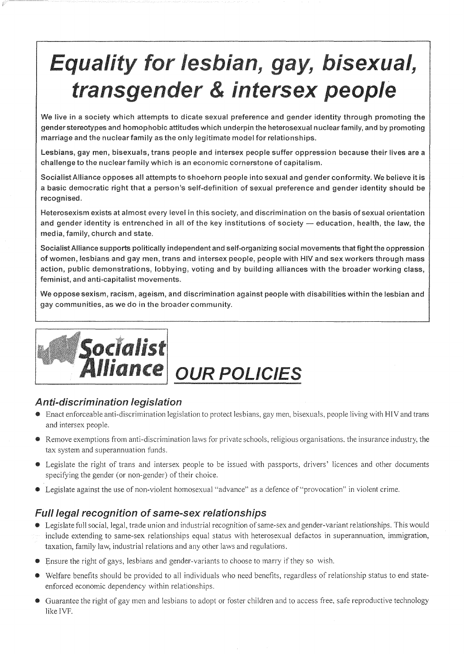## Equality for lesbian, gay, bisexual, transgender & intersex people

We live in a society which attempts to dicate sexual preference and gender identity through promoting the gender stereotypes and homophobic attitudes which underpin the heterosexual nuclear family, and by promoting marriage and the nuclear family as the only legitimate model for relationships.

Lesbians, gay men, bisexuals, trans people and intersex people suffer oppression because their lives are a challenge to the nuclear family which is an economic cornerstone of capitalism.

Socialist Alliance opposes all attempts to shoehorn people into sexual and gender conformity. We believe it is a basic democratic right that a person's self-definition of sexual preference and gender identity should be recognised.

Heterosexism exists at almost every level in this society, and discrimination on the basis of sexual orientation and gender identity is entrenched in all of the key institutions of society - education, health, the law, the media, family, church and state.

Socialist Alliance supports politically independent and self-organizing social movements that fight the oppression of women, lesbians and gay men, trans and intersex people, people with HIV and sex workers through mass action, public demonstrations, lobbying, voting and by building alliances with the broader working class, feminist, and anti-capitalist movements.

We oppose sexism, racism, ageism, and discrimination against people with disabilities within the lesbian and gay communities, as we do in the broader



# Alliance OUR POLICIES

### **Anti-discrimination legislation**

- Enact enforceable anti-discrimination legislation to protect lesbians, gay men, bisexuals, people living with HIV and trans and intersex people.
- Remove exemptions from anti-discrimination laws for private schools, religious organisations. the insurance industry, the tax system and superannuation funds.
- Legislate the right of trans and intersex people to be issued with passports, drivers' licences and other documents specifying the gender (or non-gender) of their choice.
- Legislate against the use of non-violent homosexual "advance" as a defence of "provocation" in violent crime.

### Full legal recognition of same-sex relationships

- Legislate full social, legal, trade union and industrial recognition of same-sex and gender-variant relationships. This would include extending to same-sex relationships equal status with heterosexual defactos in superannuation, immigration, taxation, family law, industrial relations and any other laws and regulations.
- Ensure the right of gays, lesbians and gender-variants to choose to marry if they so wish.
- Welfare benefits should be provided to all individuals who need benefits, regardless of relationship status to end stateenforced economic dependency within relationships.
- Guarantee the right of gay men and lesbians to adopt or foster children and to access free, safe reproductive technology like IVF.